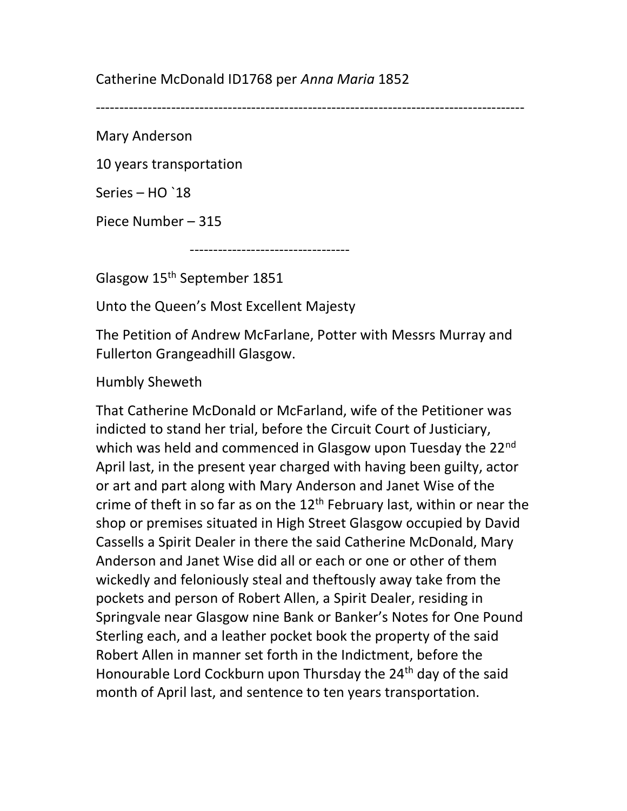## Catherine McDonald ID1768 per Anna Maria 1852

-------------------------------------------------------------------------------------------

Mary Anderson

10 years transportation

Series – HO `18

Piece Number – 315

----------------------------------

Glasgow 15th September 1851

Unto the Queen's Most Excellent Majesty

The Petition of Andrew McFarlane, Potter with Messrs Murray and Fullerton Grangeadhill Glasgow.

Humbly Sheweth

That Catherine McDonald or McFarland, wife of the Petitioner was indicted to stand her trial, before the Circuit Court of Justiciary, which was held and commenced in Glasgow upon Tuesday the 22<sup>nd</sup> April last, in the present year charged with having been guilty, actor or art and part along with Mary Anderson and Janet Wise of the crime of theft in so far as on the  $12<sup>th</sup>$  February last, within or near the shop or premises situated in High Street Glasgow occupied by David Cassells a Spirit Dealer in there the said Catherine McDonald, Mary Anderson and Janet Wise did all or each or one or other of them wickedly and feloniously steal and theftously away take from the pockets and person of Robert Allen, a Spirit Dealer, residing in Springvale near Glasgow nine Bank or Banker's Notes for One Pound Sterling each, and a leather pocket book the property of the said Robert Allen in manner set forth in the Indictment, before the Honourable Lord Cockburn upon Thursday the 24<sup>th</sup> day of the said month of April last, and sentence to ten years transportation.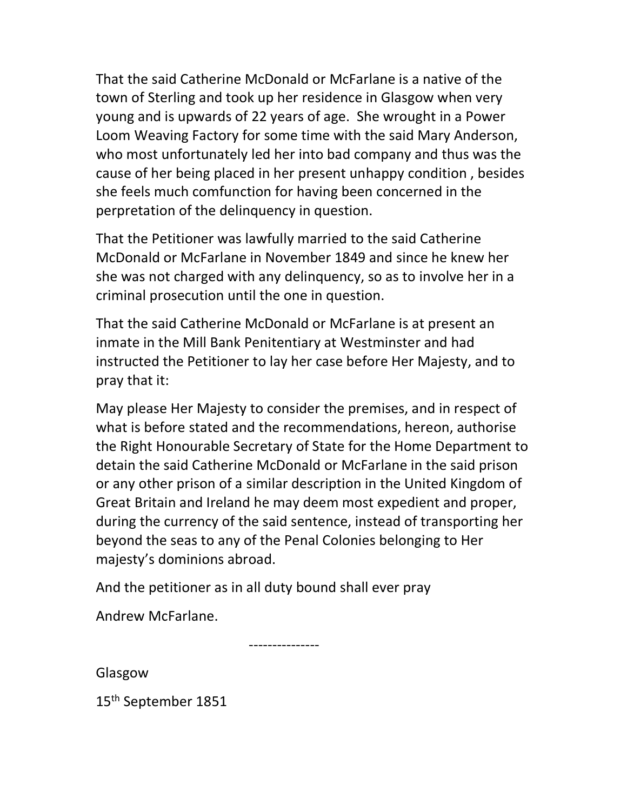That the said Catherine McDonald or McFarlane is a native of the town of Sterling and took up her residence in Glasgow when very young and is upwards of 22 years of age. She wrought in a Power Loom Weaving Factory for some time with the said Mary Anderson, who most unfortunately led her into bad company and thus was the cause of her being placed in her present unhappy condition , besides she feels much comfunction for having been concerned in the perpretation of the delinquency in question.

That the Petitioner was lawfully married to the said Catherine McDonald or McFarlane in November 1849 and since he knew her she was not charged with any delinquency, so as to involve her in a criminal prosecution until the one in question.

That the said Catherine McDonald or McFarlane is at present an inmate in the Mill Bank Penitentiary at Westminster and had instructed the Petitioner to lay her case before Her Majesty, and to pray that it:

May please Her Majesty to consider the premises, and in respect of what is before stated and the recommendations, hereon, authorise the Right Honourable Secretary of State for the Home Department to detain the said Catherine McDonald or McFarlane in the said prison or any other prison of a similar description in the United Kingdom of Great Britain and Ireland he may deem most expedient and proper, during the currency of the said sentence, instead of transporting her beyond the seas to any of the Penal Colonies belonging to Her majesty's dominions abroad.

And the petitioner as in all duty bound shall ever pray

Andrew McFarlane.

---------------

Glasgow

15th September 1851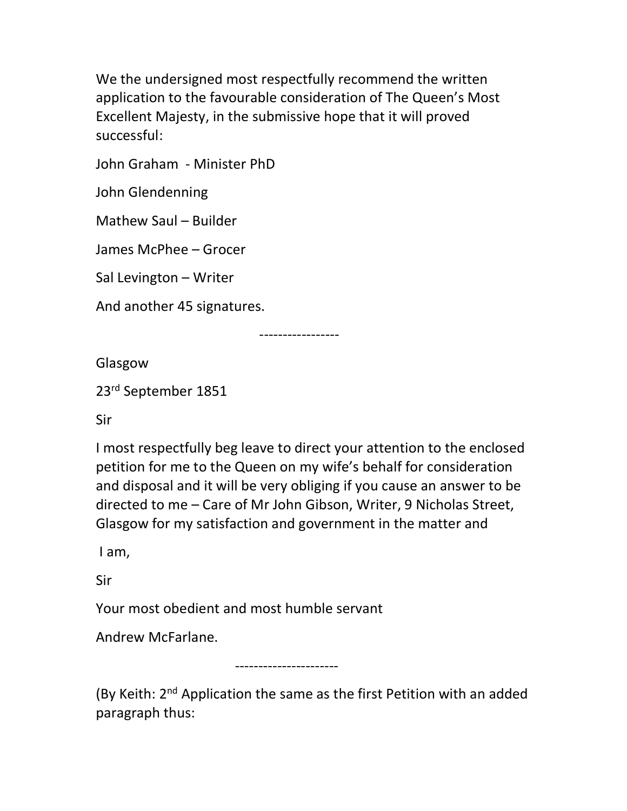We the undersigned most respectfully recommend the written application to the favourable consideration of The Queen's Most Excellent Majesty, in the submissive hope that it will proved successful:

John Graham - Minister PhD

John Glendenning

Mathew Saul – Builder

James McPhee – Grocer

Sal Levington – Writer

And another 45 signatures.

-----------------

Glasgow

23rd September 1851

Sir

I most respectfully beg leave to direct your attention to the enclosed petition for me to the Queen on my wife's behalf for consideration and disposal and it will be very obliging if you cause an answer to be directed to me – Care of Mr John Gibson, Writer, 9 Nicholas Street, Glasgow for my satisfaction and government in the matter and

I am,

Sir

Your most obedient and most humble servant

Andrew McFarlane.

----------------------

(By Keith: 2<sup>nd</sup> Application the same as the first Petition with an added paragraph thus: